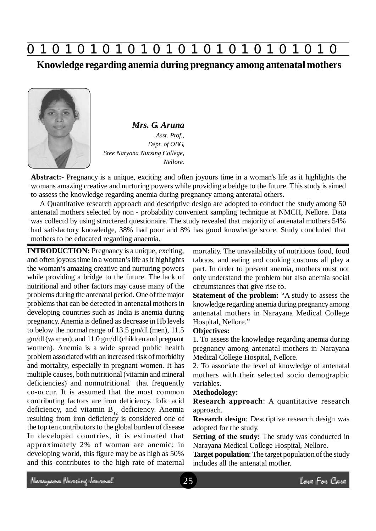

**Knowledge regarding anemia during pregnancy among antenatal mothers**



*Mrs. G. Aruna Asst. Prof., Dept. of OBG, Sree Naryana Nursing College, Nellore.*

**Abstract:-** Pregnancy is a unique, exciting and often joyours time in a woman's life as it highlights the womans amazing creative and nurturing powers while providing a beidge to the future. This study is aimed to assess the knowledge regarding anemia during pregnancy among anteratal others.

A Quantitative research approach and descriptive design are adopted to conduct the study among 50 antenatal mothers selected by non - probability convenient sampling technique at NMCH, Nellore. Data was collectd by using structered questionaire. The study revealed that majority of antenatal mothers 54% had satisfactory knowledge, 38% had poor and 8% has good knowledge score. Study concluded that mothers to be educated regarding anaemia.

**INTRODUCTION:** Pregnancy is a unique, exciting, and often joyous time in a woman's life as it highlights the woman's amazing creative and nurturing powers while providing a bridge to the future. The lack of nutritional and other factors may cause many of the problems during the antenatal period. One of the major problems that can be detected in antenatal mothers in developing countries such as India is anemia during pregnancy. Anemia is defined as decrease in Hb levels to below the normal range of 13.5 gm/dl (men), 11.5 gm/dl (women), and 11.0 gm/dl (children and pregnant women). Anemia is a wide spread public health problem associated with an increased risk of morbidity and mortality, especially in pregnant women. It has multiple causes, both nutritional (vitamin and mineral deficiencies) and nonnutritional that frequently co-occur. It is assumed that the most common contributing factors are iron deficiency, folic acid deficiency, and vitamin  $B_{12}$  deficiency. Anemia resulting from iron deficiency is considered one of the top ten contributors to the global burden of disease In developed countries, it is estimated that approximately 2% of woman are anemic; in developing world, this figure may be as high as 50% and this contributes to the high rate of maternal

mortality. The unavailability of nutritious food, food taboos, and eating and cooking customs all play a part. In order to prevent anemia, mothers must not only understand the problem but also anemia social circumstances that give rise to.

**Statement of the problem:** "A study to assess the knowledge regarding anemia during pregnancy among antenatal mothers in Narayana Medical College Hospital, Nellore."

## **Objectives:**

1. To assess the knowledge regarding anemia during pregnancy among antenatal mothers in Narayana Medical College Hospital, Nellore.

2. To associate the level of knowledge of antenatal mothers with their selected socio demographic variables.

### **Methodology:**

**Research approach**: A quantitative research approach.

**Research design**: Descriptive research design was adopted for the study.

**Setting of the study:** The study was conducted in Narayana Medical College Hospital, Nellore.

**Target population**: The target population of the study includes all the antenatal mother.

Neregewe Nereing Journal